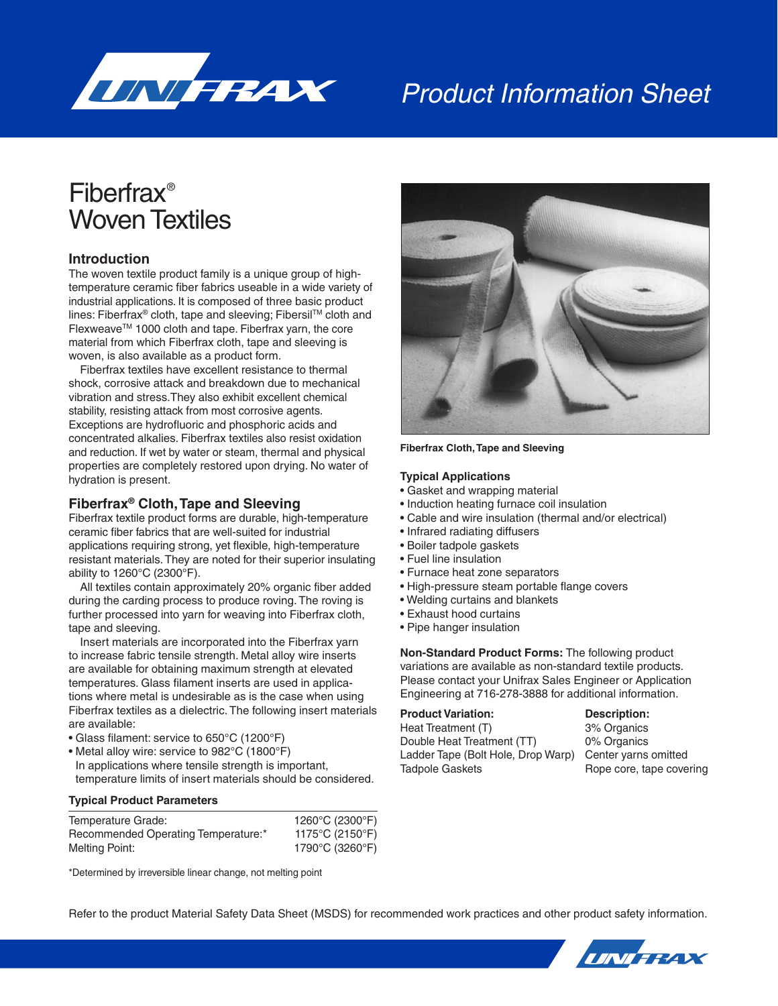

# Product Information Sheet

## Fiberfrax® Woven Textiles

## **Introduction**

The woven textile product family is a unique group of hightemperature ceramic fiber fabrics useable in a wide variety of industrial applications. It is composed of three basic product lines: Fiberfrax® cloth, tape and sleeving; FibersilTM cloth and Flexweave™ 1000 cloth and tape. Fiberfrax yarn, the core material from which Fiberfrax cloth, tape and sleeving is woven, is also available as a product form.

Fiberfrax textiles have excellent resistance to thermal shock, corrosive attack and breakdown due to mechanical vibration and stress.They also exhibit excellent chemical stability, resisting attack from most corrosive agents. Exceptions are hydrofluoric and phosphoric acids and concentrated alkalies. Fiberfrax textiles also resist oxidation and reduction. If wet by water or steam, thermal and physical properties are completely restored upon drying. No water of hydration is present.

#### **Fiberfrax® Cloth, Tape and Sleeving**

Fiberfrax textile product forms are durable, high-temperature ceramic fiber fabrics that are well-suited for industrial applications requiring strong, yet flexible, high-temperature resistant materials. They are noted for their superior insulating ability to 1260°C (2300°F).

All textiles contain approximately 20% organic fiber added during the carding process to produce roving. The roving is further processed into yarn for weaving into Fiberfrax cloth, tape and sleeving.

Insert materials are incorporated into the Fiberfrax yarn to increase fabric tensile strength. Metal alloy wire inserts are available for obtaining maximum strength at elevated temperatures. Glass filament inserts are used in applications where metal is undesirable as is the case when using Fiberfrax textiles as a dielectric. The following insert materials are available:

- Glass filament: service to 650°C (1200°F)
- Metal alloy wire: service to 982°C (1800°F)

In applications where tensile strength is important, temperature limits of insert materials should be considered.

#### **Typical Product Parameters**

| Temperature Grade:                  | 1260°C (2300°F) |
|-------------------------------------|-----------------|
| Recommended Operating Temperature:* | 1175°C (2150°F) |
| Melting Point:                      | 1790°C (3260°F) |

\*Determined by irreversible linear change, not melting point



#### **Fiberfrax Cloth, Tape and Sleeving**

#### **Typical Applications**

- Gasket and wrapping material
- Induction heating furnace coil insulation
- Cable and wire insulation (thermal and/or electrical)
- Infrared radiating diffusers
- Boiler tadpole gaskets
- Fuel line insulation
- Furnace heat zone separators
- High-pressure steam portable flange covers
- Welding curtains and blankets
- Exhaust hood curtains
- Pipe hanger insulation

**Non-Standard Product Forms:** The following product variations are available as non-standard textile products. Please contact your Unifrax Sales Engineer or Application Engineering at 716-278-3888 for additional information.

#### **Product Variation: Description:**

Heat Treatment (T) 3% Organics Double Heat Treatment (TT) 0% Organics Ladder Tape (Bolt Hole, Drop Warp) Center yarns omitted Tadpole Gaskets Rope core, tape covering

Refer to the product Material Safety Data Sheet (MSDS) for recommended work practices and other product safety information.

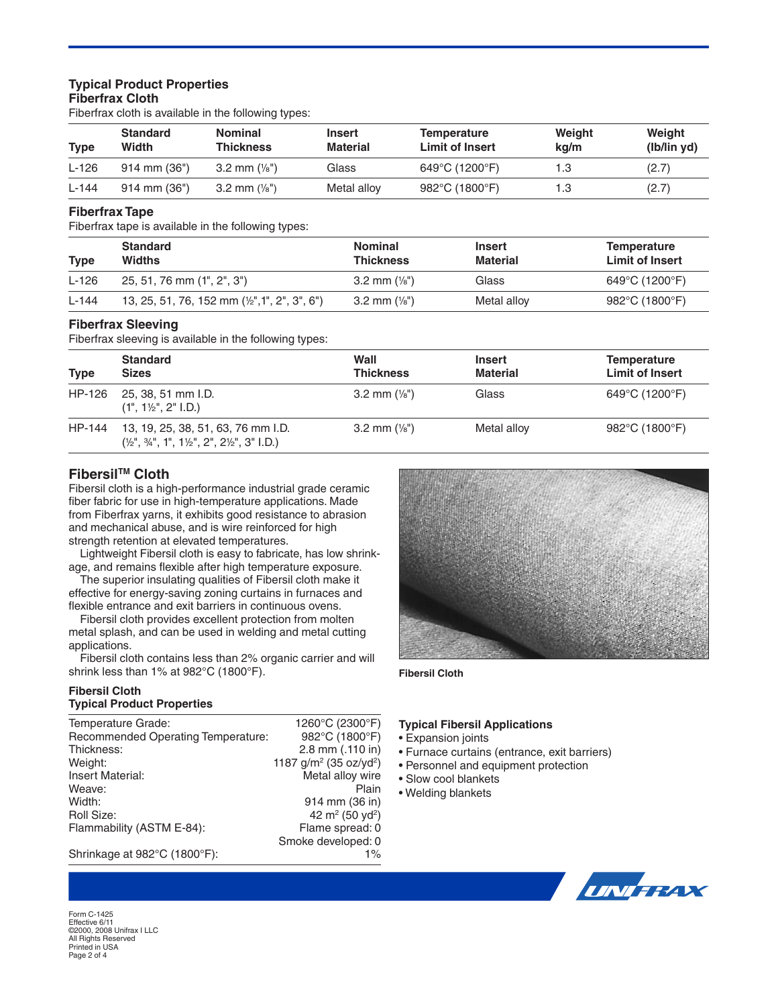## **Typical Product Properties Fiberfrax Cloth**

Fiberfrax cloth is available in the following types:

| <b>Type</b> | <b>Standard</b><br>Width | Nominal<br>Thickness   | Insert<br><b>Material</b> | Temperature<br><b>Limit of Insert</b> | Weight<br>kg/m | Weight<br>(lb/lin yd) |
|-------------|--------------------------|------------------------|---------------------------|---------------------------------------|----------------|-----------------------|
| $L-126$     | $914$ mm $(36")$         | 3.2 mm $(\frac{1}{8})$ | Glass                     | 649°C (1200°F)                        | 1.3            | (2.7)                 |
| $L-144$     | $914$ mm $(36")$         | 3.2 mm $(\frac{1}{8})$ | Metal alloy               | 982°C (1800°F)                        | 1.3            | (2.7)                 |

#### **Fiberfrax Tape**

Fiberfrax tape is available in the following types:

| <b>Type</b> | <b>Standard</b><br>Widths                                | <b>Nominal</b><br><b>Thickness</b> | Insert<br>Material | <b>Temperature</b><br><b>Limit of Insert</b> |
|-------------|----------------------------------------------------------|------------------------------------|--------------------|----------------------------------------------|
| $L-126$     | 25, 51, 76 mm (1", 2", 3")                               | 3.2 mm $(\frac{1}{8})$             | Glass              | 649°C (1200°F)                               |
| $L-144$     | 13, 25, 51, 76, 152 mm $(\frac{1}{2}$ ", 1", 2", 3", 6") | 3.2 mm $(\frac{1}{8})$             | Metal alloy        | 982°C (1800°F)                               |

#### **Fiberfrax Sleeving**

Fiberfrax sleeving is available in the following types:

| <b>Type</b> | <b>Standard</b><br><b>Sizes</b>                                                                                          | Wall<br><b>Thickness</b> | <b>Insert</b><br><b>Material</b> | <b>Temperature</b><br>Limit of Insert |
|-------------|--------------------------------------------------------------------------------------------------------------------------|--------------------------|----------------------------------|---------------------------------------|
| HP-126      | 25, 38, 51 mm I.D.<br>$(1", 1\frac{1}{2", 2", 1.D.})$                                                                    | 3.2 mm $(\frac{1}{8})$   | Glass                            | 649°C (1200°F)                        |
| HP-144      | 13, 19, 25, 38, 51, 63, 76 mm I.D.<br>$(\frac{1}{2}, \frac{3}{4}, \frac{4}{1}, 1^{\circ}, 1^{\circ})$ , 2", 2", 3" I.D.) | 3.2 mm $(\frac{1}{8})$   | Metal alloy                      | 982 $\degree$ C (1800 $\degree$ F)    |

## **FibersilTM Cloth**

Fibersil cloth is a high-performance industrial grade ceramic fiber fabric for use in high-temperature applications. Made from Fiberfrax yarns, it exhibits good resistance to abrasion and mechanical abuse, and is wire reinforced for high strength retention at elevated temperatures.

Lightweight Fibersil cloth is easy to fabricate, has low shrink age, and remains flexible after high temperature exposure.

The superior insulating qualities of Fibersil cloth make it effective for energy-saving zoning curtains in furnaces and flexible entrance and exit barriers in continuous ovens.

Fibersil cloth provides excellent protection from molten metal splash, and can be used in welding and metal cutting applications.

Fibersil cloth contains less than 2% organic carrier and will shrink less than 1% at 982°C (1800°F).

#### **Fibersil Cloth Typical Product Properties**

Temperature Grade: 1260°C (2300°F)<br>Recommended Operating Temperature: 982°C (1800°F) Recommended Operating Temperature:<br>Thickness: 2.8 mm (.110 in) Weight: 1187 g/m<sup>2</sup> (35 oz/yd<sup>2</sup>)<br>Insert Material: 1187 g/m<sup>2</sup> (35 oz/yd<sup>2</sup>) Insert Material: The Metal alloy wire<br>Weave: Metal alloy wire Weave: **Weave: Plain** Width: 914 mm (36 in) Roll Size:  $42 \text{ m}^2 (50 \text{ yd}^2)$ Flammability (ASTM E-84): Flame spread: 0 Smoke developed: 0 Shrinkage at 982°C (1800°F): 1%



**Fibersil Cloth**

#### **Typical Fibersil Applications**

- Expansion joints
- Furnace curtains (entrance, exit barriers)
- Personnel and equipment protection
- Slow cool blankets
- Welding blankets



Form C-1425 Effective 6/11 ©2000, 2008 Unifrax I LLC All Rights Reserved Printed in USA Page 2 of 4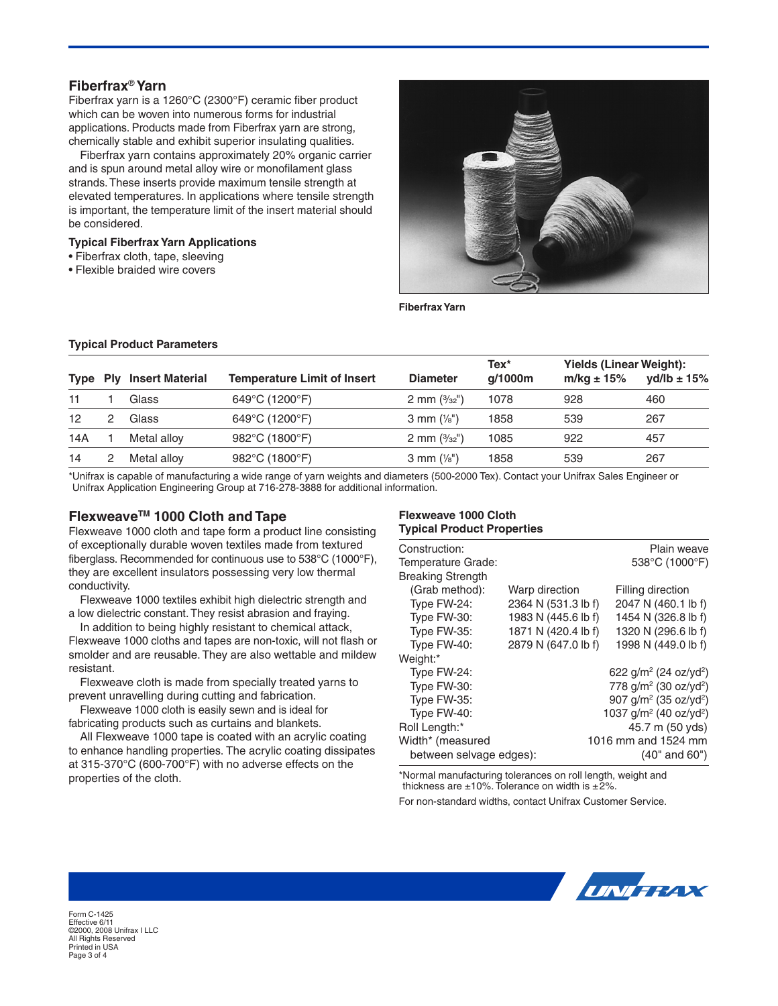## **Fiberfrax**® **Yarn**

Fiberfrax yarn is a 1260°C (2300°F) ceramic fiber product which can be woven into numerous forms for industrial applications. Products made from Fiberfrax yarn are strong, chemically stable and exhibit superior insulating qualities.

Fiberfrax yarn contains approximately 20% organic carrier and is spun around metal alloy wire or monofilament glass strands. These inserts provide maximum tensile strength at elevated temperatures. In applications where tensile strength is important, the temperature limit of the insert material should be considered.

#### **Typical Fiberfrax Yarn Applications**

- Fiberfrax cloth, tape, sleeving
- Flexible braided wire covers



**Fiberfrax Yarn**

#### **Typical Product Parameters**

| Type            | <b>Ply</b> | <b>Insert Material</b> | <b>Temperature Limit of Insert</b> | <b>Diameter</b>      | Tex*<br>q/1000m | Yields (Linear Weight):<br>m/kg $\pm$ 15% | yd/lb $\pm$ 15% |
|-----------------|------------|------------------------|------------------------------------|----------------------|-----------------|-------------------------------------------|-----------------|
| 11              |            | Glass                  | 649°C (1200°F)                     | 2 mm $(3/32)$        | 1078            | 928                                       | 460             |
| 12 <sup>2</sup> |            | Glass                  | 649°C (1200°F)                     | 3 mm $(\frac{1}{8})$ | 1858            | 539                                       | 267             |
| 14A             |            | Metal alloy            | 982°C (1800°F)                     | 2 mm $(3/32)$        | 1085            | 922                                       | 457             |
| 14              |            | Metal allov            | 982°C (1800°F)                     | 3 mm $(\frac{1}{8})$ | 1858            | 539                                       | 267             |

\*Unifrax is capable of manufacturing a wide range of yarn weights and diameters (500-2000 Tex). Contact your Unifrax Sales Engineer or Unifrax Application Engineering Group at 716-278-3888 for additional information.

## **FlexweaveTM 1000 Cloth and Tape**

Flexweave 1000 cloth and tape form a product line consisting of exceptionally durable woven textiles made from textured fiberglass. Recommended for continuous use to 538°C (1000°F), they are excellent insulators possessing very low thermal conductivity.

Flexweave 1000 textiles exhibit high dielectric strength and a low dielectric constant. They resist abrasion and fraying.

In addition to being highly resistant to chemical attack, Flexweave 1000 cloths and tapes are non-toxic, will not flash or smolder and are reusable. They are also wettable and mildew resistant.

Flexweave cloth is made from specially treated yarns to prevent unravelling during cutting and fabrication.

Flexweave 1000 cloth is easily sewn and is ideal for fabricating products such as curtains and blankets.

All Flexweave 1000 tape is coated with an acrylic coating to enhance handling properties. The acrylic coating dissipates at 315-370°C (600-700°F) with no adverse effects on the properties of the cloth.

#### **Flexweave 1000 Cloth Typical Product Properties**

| Construction:            |                     | Plain weave                                    |
|--------------------------|---------------------|------------------------------------------------|
| Temperature Grade:       |                     | 538°C (1000°F)                                 |
| <b>Breaking Strength</b> |                     |                                                |
| (Grab method):           | Warp direction      | Filling direction                              |
| Type FW-24:              | 2364 N (531.3 lb f) | 2047 N (460.1 lb f)                            |
| Type FW-30:              | 1983 N (445.6 lb f) | 1454 N (326.8 lb f)                            |
| Type FW-35:              | 1871 N (420.4 lb f) | 1320 N (296.6 lb f)                            |
| Type FW-40:              | 2879 N (647.0 lb f) | 1998 N (449.0 lb f)                            |
| Weight:*                 |                     |                                                |
| Type FW-24:              |                     | 622 g/m <sup>2</sup> (24 oz/yd <sup>2</sup> )  |
| Type FW-30:              |                     | 778 $q/m^2$ (30 oz/yd <sup>2</sup> )           |
| Type FW-35:              |                     | 907 $q/m^2$ (35 oz/yd <sup>2</sup> )           |
| Type FW-40:              |                     | 1037 g/m <sup>2</sup> (40 oz/yd <sup>2</sup> ) |
| Roll Length:*            |                     | 45.7 m (50 yds)                                |
| Width* (measured         |                     | 1016 mm and 1524 mm                            |
| between selvage edges):  |                     | $(40"$ and $60")$                              |

\*Normal manufacturing tolerances on roll length, weight and thickness are  $\pm 10\%$ . Tolerance on width is  $\pm 2\%$ .

For non-standard widths, contact Unifrax Customer Service.



Form C-1425 Effective 6/11 ©2000, 2008 Unifrax I LLC All Rights Reserved Printed in USA Page 3 of 4